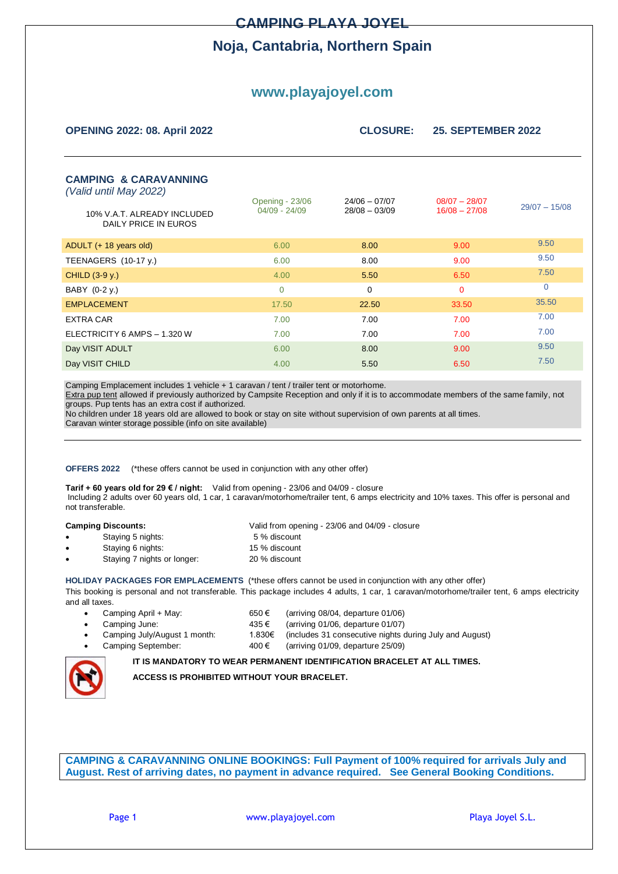### **CAMPING PLAYA JOYEL**

## **Noja, Cantabria, Northern Spain**

# **www.playajoyel.com**

| <b>OPENING 2022: 08. April 2022</b>                                                                               | <b>CLOSURE:</b>                           | <b>25. SEPTEMBER 2022</b>          |                                    |                 |
|-------------------------------------------------------------------------------------------------------------------|-------------------------------------------|------------------------------------|------------------------------------|-----------------|
| <b>CAMPING &amp; CARAVANNING</b><br>(Valid until May 2022)<br>10% V.A.T. ALREADY INCLUDED<br>DAILY PRICE IN EUROS | <b>Opening - 23/06</b><br>$04/09 - 24/09$ | $24/06 - 07/07$<br>$28/08 - 03/09$ | $08/07 - 28/07$<br>$16/08 - 27/08$ | $29/07 - 15/08$ |
| ADULT (+ 18 years old)                                                                                            | 6.00                                      | 8.00                               | 9.00                               | 9.50            |
| TEENAGERS (10-17 y.)                                                                                              | 6.00                                      | 8.00                               | 9.00                               | 9.50            |
| CHILD $(3-9y)$ .                                                                                                  | 4.00                                      | 5.50                               | 6.50                               | 7.50            |
| BABY (0-2 y.)                                                                                                     | $\mathbf 0$                               | $\mathbf 0$                        | $\mathbf 0$                        | $\Omega$        |
| <b>EMPLACEMENT</b>                                                                                                | 17.50                                     | 22.50                              | 33.50                              | 35.50           |
| EXTRA CAR                                                                                                         | 7.00                                      | 7.00                               | 7.00                               | 7.00            |
| ELECTRICITY 6 AMPS - 1.320 W                                                                                      | 7.00                                      | 7.00                               | 7.00                               | 7.00            |
| Day VISIT ADULT                                                                                                   | 6.00                                      | 8.00                               | 9.00                               | 9.50            |
| Day VISIT CHILD                                                                                                   | 4.00                                      | 5.50                               | 6.50                               | 7.50            |

Camping Emplacement includes 1 vehicle + 1 caravan / tent / trailer tent or motorhome.

Extra pup tent allowed if previously authorized by Campsite Reception and only if it is to accommodate members of the same family, not groups. Pup tents has an extra cost if authorized.

No children under 18 years old are allowed to book or stay on site without supervision of own parents at all times.

Caravan winter storage possible (info on site available)

**OFFERS 2022** (\*these offers cannot be used in conjunction with any other offer)

**Tarif + 60 years old for 29 € / night:** Valid from opening - 23/06 and 04/09 - closure Including 2 adults over 60 years old, 1 car, 1 caravan/motorhome/trailer tent, 6 amps electricity and 10% taxes. This offer is personal and not transferable.

|   | <b>Camping Discounts:</b>   | Valid from opening - 23/06 and 04/09 - closure |
|---|-----------------------------|------------------------------------------------|
| ٠ | Staying 5 nights:           | 5 % discount                                   |
| ٠ | Staying 6 nights:           | 15 % discount                                  |
| ٠ | Staying 7 nights or longer: | 20 % discount                                  |

**HOLIDAY PACKAGES FOR EMPLACEMENTS** (\*these offers cannot be used in conjunction with any other offer) This booking is personal and not transferable. This package includes 4 adults, 1 car, 1 caravan/motorhome/trailer tent, 6 amps electricity and all taxes.

| Camping April + May:         | 650€  | (arriving $08/04$ , departure $01/06$ )                        |
|------------------------------|-------|----------------------------------------------------------------|
| Camping June:                | 435 € | (arriving $01/06$ , departure $01/07$ )                        |
| Camping July/August 1 month: |       | 1.830€ (includes 31 consecutive nights during July and August) |
| Camping September:           | 400€  | (arriving $01/09$ , departure $25/09$ )                        |

#### **IT IS MANDATORY TO WEAR PERMANENT IDENTIFICATION BRACELET AT ALL TIMES.**

**ACCESS IS PROHIBITED WITHOUT YOUR BRACELET.**

**CAMPING & CARAVANNING ONLINE BOOKINGS: Full Payment of 100% required for arrivals July and August. Rest of arriving dates, no payment in advance required. See General Booking Conditions.**

Page 1 **but a metallic and www.playajoyel.com** a metallic probability Playa Joyel S.L.